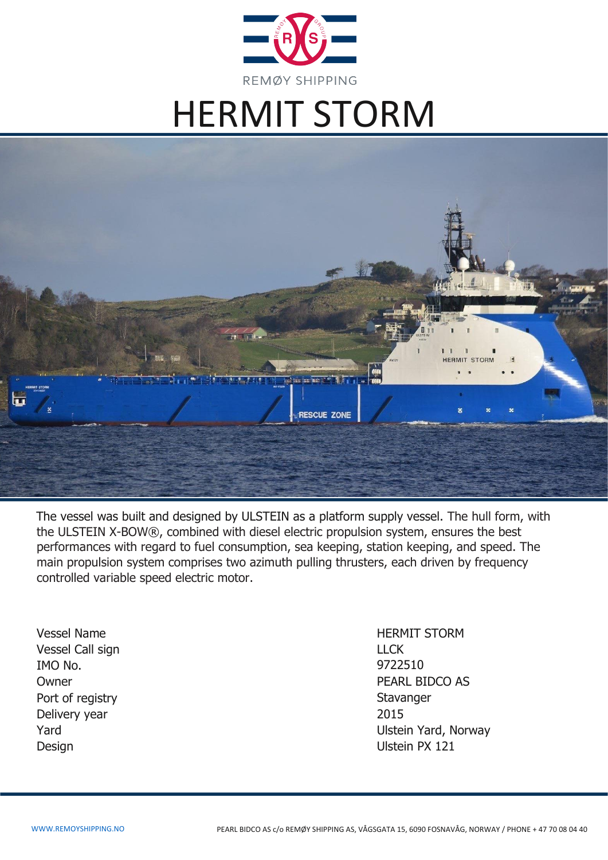

# HERMIT STORM



The vessel was built and designed by ULSTEIN as a platform supply vessel. The hull form, with the ULSTEIN X-BOW®, combined with diesel electric propulsion system, ensures the best performances with regard to fuel consumption, sea keeping, station keeping, and speed. The main propulsion system comprises two azimuth pulling thrusters, each driven by frequency controlled variable speed electric motor.

Vessel Name **HERMIT STORM** Vessel Call sign LLCK IMO No. Owner Port of registry Delivery year 2015 Design Ulstein PX 121

9722510 PEARL BIDCO AS **Stavanger** Yard Ulstein Yard, Norway